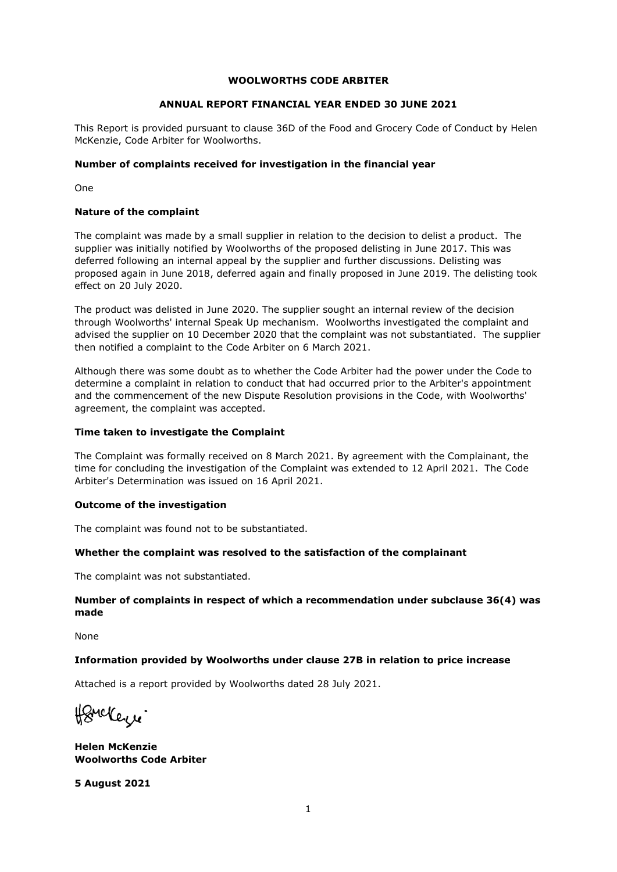## **WOOLWORTHS CODE ARBITER**

## **ANNUAL REPORT FINANCIAL YEAR ENDED 30 JUNE 2021**

This Report is provided pursuant to clause 36D of the Food and Grocery Code of Conduct by Helen McKenzie, Code Arbiter for Woolworths.

## **Number of complaints received for investigation in the financial year**

One

## **Nature of the complaint**

The complaint was made by a small supplier in relation to the decision to delist a product. The supplier was initially notified by Woolworths of the proposed delisting in June 2017. This was deferred following an internal appeal by the supplier and further discussions. Delisting was proposed again in June 2018, deferred again and finally proposed in June 2019. The delisting took effect on 20 July 2020.

The product was delisted in June 2020. The supplier sought an internal review of the decision through Woolworths' internal Speak Up mechanism. Woolworths investigated the complaint and advised the supplier on 10 December 2020 that the complaint was not substantiated. The supplier then notified a complaint to the Code Arbiter on 6 March 2021.

Although there was some doubt as to whether the Code Arbiter had the power under the Code to determine a complaint in relation to conduct that had occurred prior to the Arbiter's appointment and the commencement of the new Dispute Resolution provisions in the Code, with Woolworths' agreement, the complaint was accepted.

### **Time taken to investigate the Complaint**

The Complaint was formally received on 8 March 2021. By agreement with the Complainant, the time for concluding the investigation of the Complaint was extended to 12 April 2021. The Code Arbiter's Determination was issued on 16 April 2021.

#### **Outcome of the investigation**

The complaint was found not to be substantiated.

## **Whether the complaint was resolved to the satisfaction of the complainant**

The complaint was not substantiated.

## **Number of complaints in respect of which a recommendation under subclause 36(4) was made**

None

#### **Information provided by Woolworths under clause 27B in relation to price increase**

Attached is a report provided by Woolworths dated 28 July 2021.

Homekerre.

**Helen McKenzie Woolworths Code Arbiter** 

**5 August 2021**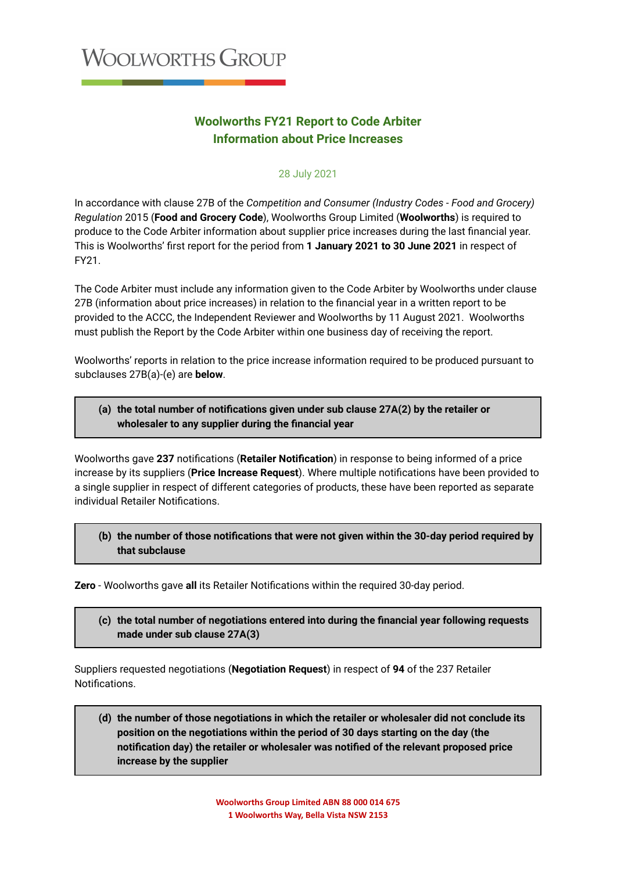# **Woolworths FY21 Report to Code Arbiter Information about Price Increases**

## 28 July 2021

In accordance with clause 27B of the *Competition and Consumer (Industry Codes - Food and Grocery) Regulation* 2015 (**Food and Grocery Code**), Woolworths Group Limited (**Woolworths**) is required to produce to the Code Arbiter information about supplier price increases during the last financial year. This is Woolworths' first report for the period from **1 January 2021 to 30 June 2021** in respect of FY21.

The Code Arbiter must include any information given to the Code Arbiter by Woolworths under clause 27B (information about price increases) in relation to the financial year in a written report to be provided to the ACCC, the Independent Reviewer and Woolworths by 11 August 2021. Woolworths must publish the Report by the Code Arbiter within one business day of receiving the report.

Woolworths' reports in relation to the price increase information required to be produced pursuant to subclauses 27B(a)-(e) are **below**.

## **(a) the total number of notifications given under sub clause 27A(2) by the retailer or wholesaler to any supplier during the financial year**

Woolworths gave **237** notifications (**Retailer Notification**) in response to being informed of a price increase by its suppliers (**Price Increase Request**). Where multiple notifications have been provided to a single supplier in respect of different categories of products, these have been reported as separate individual Retailer Notifications.

**(b) the number of those notifications that were not given within the 30‑day period required by that subclause**

**Zero** - Woolworths gave **all** its Retailer Notifications within the required 30-day period.

**(c) the total number of negotiations entered into during the financial year following requests made under sub clause 27A(3)**

Suppliers requested negotiations (**Negotiation Request**) in respect of **94** of the 237 Retailer Notifications.

**(d) the number of those negotiations in which the retailer or wholesaler did not conclude its position on the negotiations within the period of 30 days starting on the day (the notification day) the retailer or wholesaler was notified of the relevant proposed price increase by the supplier**

> **Woolworths Group Limited ABN 88 000 014 675 1 Woolworths Way, Bella Vista NSW 2153**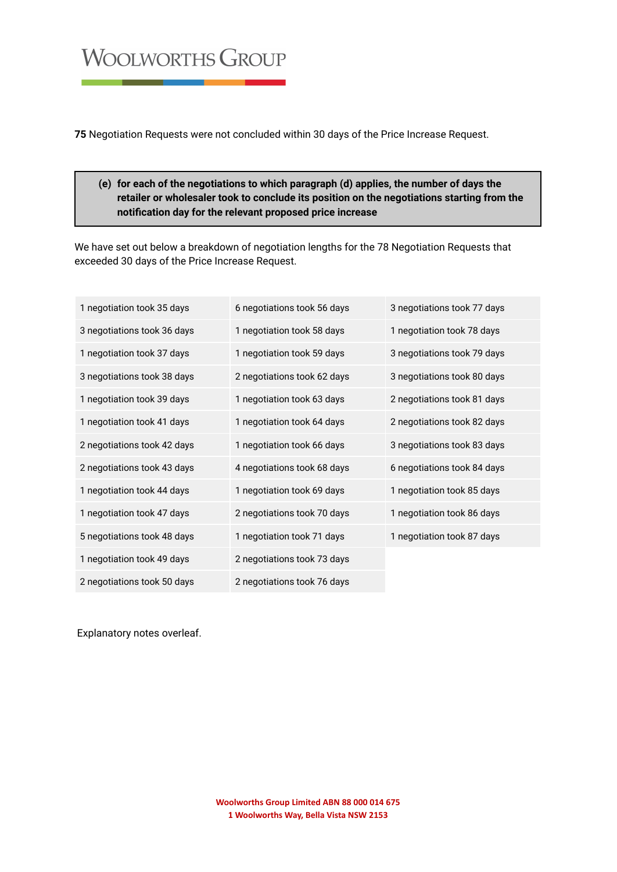# **WOOLWORTHS GROUP**

**75** Negotiation Requests were not concluded within 30 days of the Price Increase Request.

# **(e) for each of the negotiations to which paragraph (d) applies, the number of days the retailer or wholesaler took to conclude its position on the negotiations starting from the notification day for the relevant proposed price increase**

We have set out below a breakdown of negotiation lengths for the 78 Negotiation Requests that exceeded 30 days of the Price Increase Request.

| 1 negotiation took 35 days  | 6 negotiations took 56 days | 3 negotiations took 77 days |
|-----------------------------|-----------------------------|-----------------------------|
| 3 negotiations took 36 days | 1 negotiation took 58 days  | 1 negotiation took 78 days  |
| 1 negotiation took 37 days  | 1 negotiation took 59 days  | 3 negotiations took 79 days |
| 3 negotiations took 38 days | 2 negotiations took 62 days | 3 negotiations took 80 days |
| 1 negotiation took 39 days  | 1 negotiation took 63 days  | 2 negotiations took 81 days |
| 1 negotiation took 41 days  | 1 negotiation took 64 days  | 2 negotiations took 82 days |
| 2 negotiations took 42 days | 1 negotiation took 66 days  | 3 negotiations took 83 days |
| 2 negotiations took 43 days | 4 negotiations took 68 days | 6 negotiations took 84 days |
| 1 negotiation took 44 days  | 1 negotiation took 69 days  | 1 negotiation took 85 days  |
| 1 negotiation took 47 days  | 2 negotiations took 70 days | 1 negotiation took 86 days  |
| 5 negotiations took 48 days | 1 negotiation took 71 days  | 1 negotiation took 87 days  |
| 1 negotiation took 49 days  | 2 negotiations took 73 days |                             |
| 2 negotiations took 50 days | 2 negotiations took 76 days |                             |

Explanatory notes overleaf.